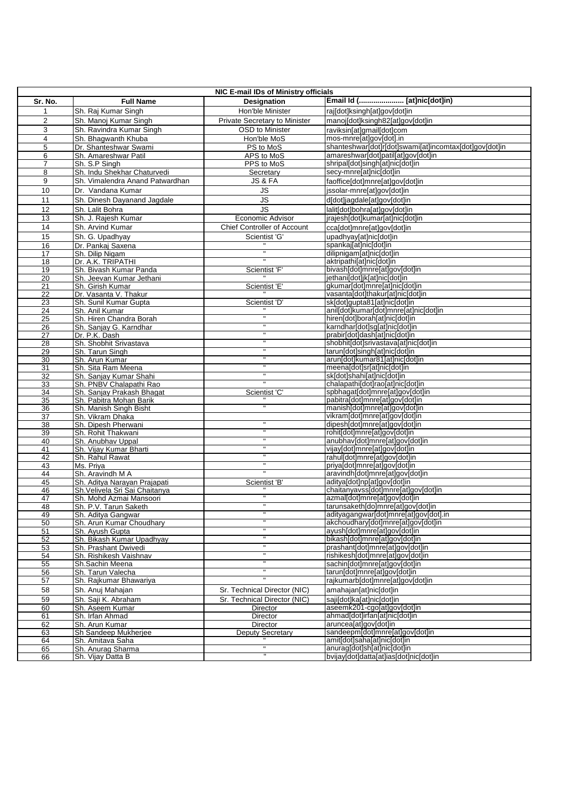| NIC E-mail IDs of Ministry officials |                                              |                                    |                                                                            |  |
|--------------------------------------|----------------------------------------------|------------------------------------|----------------------------------------------------------------------------|--|
| Sr. No.                              | <b>Full Name</b>                             | <b>Designation</b>                 | Email Id ( [at]nic[dot]in)                                                 |  |
|                                      | Sh. Raj Kumar Singh                          | Hon'ble Minister                   | raj[dot]ksingh[at]gov[dot]in                                               |  |
| $\overline{2}$                       | Sh. Manoj Kumar Singh                        | Private Secretary to Minister      | manoj[dot]ksingh82[at]gov[dot]in                                           |  |
| 3                                    | Sh. Ravindra Kumar Singh                     | OSD to Minister                    | raviksin[at]gmail[dot]com                                                  |  |
| 4                                    | Sh. Bhagwanth Khuba                          | Hon'ble MoS                        | mos-mnre[at]gov[dot].in                                                    |  |
| 5                                    | Dr. Shanteshwar Swami                        | PS to MoS                          | shanteshwar[dot]r[dot]swami[at]incomtax[dot]gov[dot]in                     |  |
| 6                                    | Sh. Amareshwar Patil                         | APS to MoS                         | amareshwar[dot]patil[at]gov[dot]in                                         |  |
| $\overline{7}$                       | Sh. S.P Singh                                | PPS to MoS                         | shripal[dot]singh[at]nic[dot]in                                            |  |
| 8                                    | Sh. Indu Shekhar Chaturvedi                  | Secretary                          | secy-mnre[at]nic[dot]in                                                    |  |
| 9                                    | Sh. Vimalendra Anand Patwardhan              | JS & FA                            | faoffice[dot]mnre[at]gov[dot]in                                            |  |
| 10                                   | Dr. Vandana Kumar                            | JS                                 | issolar-mnre[at]gov[dot]in                                                 |  |
| 11                                   | Sh. Dinesh Dayanand Jagdale                  | $\overline{\mathsf{u}}$            | d[dot]jagdale[at]gov[dot]in                                                |  |
| 12                                   | Sh. Lalit Bohra                              | <b>JS</b>                          | lalit[dot]bohra[at]gov[dot]in                                              |  |
| 13                                   | Sh. J. Rajesh Kumar                          | Economic Advisor                   | jrajesh[dot]kumar[at]nic[dot]in                                            |  |
| 14                                   | Sh. Arvind Kumar                             | <b>Chief Controller of Account</b> | cca[dot]mnre[at]gov[dot]in                                                 |  |
| 15                                   | Sh. G. Upadhyay                              | Scientist 'G'                      | upadhyay[at]nic[dot]in                                                     |  |
| 16                                   | Dr. Pankaj Saxena                            |                                    | spankaj[at]nic[dot]in                                                      |  |
| $\overline{17}$                      | Sh. Dilip Nigam                              |                                    | dilipnigam[at]nic[dot]in                                                   |  |
| $\overline{18}$                      | Dr. A.K. TRIPATHI                            |                                    | aktripathi[at]nic[dot]in                                                   |  |
| 19<br>20                             | Sh. Bivash Kumar Panda                       | Scientist 'F'                      | bivash[dot]mnre[at]gov[dot]in<br>jethani[dot]jk[at]nic[dot]in              |  |
| 21                                   | Sh. Jeevan Kumar Jethani<br>Sh. Girish Kumar | Scientist 'E'                      | gkumar[dot]mnre[at]nic[dot]in                                              |  |
| $\overline{22}$                      | Dr. Vasanta V. Thakur                        |                                    | vasanta[dot]thakur[at]nic[dot]in                                           |  |
| 23                                   | Sh. Sunil Kumar Gupta                        | Scientist 'D'                      | sk[dot]gupta81[at]nic[dot]in                                               |  |
| 24                                   | Sh. Anil Kumar                               |                                    | anil[dot]kumar[dot]mnre[at]nic[dot]in                                      |  |
| 25                                   | Sh. Hiren Chandra Borah                      | Ħ                                  | hiren[dot]borah[at]nic[dot]in                                              |  |
| 26                                   | Sh. Sanjay G. Karndhar                       |                                    | karndhar[dot]sg[at]nic[dot]in                                              |  |
| 27                                   | Dr. P.K. Dash                                | Ħ                                  | prabir[dot]dash[at]nic[dot]in                                              |  |
| 28                                   | Sh. Shobhit Srivastava                       | $\mathbf{H}$<br>Ħ                  | shobhit[dot]srivastava[at]nic[dot]in                                       |  |
| 29                                   | Sh. Tarun Singh                              | π                                  | tarun[dot]singh[at]nic[dot]in                                              |  |
| $\overline{30}$                      | Sh. Arun Kumar<br>Sh. Sita Ram Meena         | $\mathbf{H}$                       | arun[dot]kumar81[at]nic[dot]in<br>meena[dot]sr[at]nic[dot]in               |  |
| 31<br>32                             | Sh. Sanjay Kumar Shahi                       | π                                  | sk[dot]shahi[at]nic[dot]in                                                 |  |
| 33                                   | Sh. PNBV Chalapathi Rao                      | $\overline{\mathbf{u}}$            | chalapathi[dot]rao[at]nic[dot]in                                           |  |
| 34                                   | Sh. Sanjay Prakash Bhagat                    | Scientist 'C'                      | spbhagat[dot]mnre[at]gov[dot]in                                            |  |
| 35                                   | Sh. Pabitra Mohan Barik                      |                                    | pabitra[dot]mnre[at]gov[dot]in                                             |  |
| $\overline{36}$                      | Sh. Manish Singh Bisht                       |                                    | manish[dot]mnre[at]gov[dot]in                                              |  |
| $\overline{37}$                      | Sh. Vikram Dhaka                             | $\mathbf{H}$                       | vikram[dot]mnre[at]gov[dot]in                                              |  |
| 38                                   | Sh. Dipesh Pherwani                          |                                    | dipesh[dot]mnre[at]gov[dot]in<br>rohit[dot]mnre[at]gov[dot]in              |  |
| 39<br>40                             | Sh. Rohit Thakwani<br>Sh. Anubhav Uppal      |                                    | anubhav[dot]mnre[at]gov[dot]in                                             |  |
| 41                                   | Sh. Vijay Kumar Bharti                       | н                                  | vijay[dot]mnre[at]gov[dot]in                                               |  |
| 42                                   | Sh. Rahul Rawat                              | $\mathbf{H}$                       | rahul[dot]mnre[at]gov[dot]in                                               |  |
| 43                                   | Ms. Priya                                    |                                    | priya[dot]mnre[at]gov[dot]in                                               |  |
| 44                                   | Sh. Aravindh M A                             | π                                  | aravindh[dot]mnre[at]gov[dot]in                                            |  |
| 45                                   | Sh. Aditya Narayan Prajapati                 | Scientist 'B'                      | aditya[dot]np[at]gov[dot]in                                                |  |
| 46                                   | Sh. Velivela Sri Sai Chaitanya               |                                    | chaitanyavss[dot]mnre[at]gov[dot]in                                        |  |
| 47<br>48                             | Sh. Mohd Azmai Mansoori                      | π                                  | azmal[dot]mnre[at]gov[dot]in                                               |  |
| 49                                   | Sh. P.V. Tarun Saketh<br>Sh. Aditya Gangwar  |                                    | tarunsaketh[do]mnre[at]gov[dot]in<br>adityagangwar[dot]mnre[at]gov[dot].in |  |
| 50                                   | Sh. Arun Kumar Choudhary                     |                                    | akchoudhary[dot]mnre[at]gov[dot]in                                         |  |
| 51                                   | Sh. Ayush Gupta                              |                                    | ayush[dot]mnre[at]gov[dot]in                                               |  |
| 52                                   | Sh. Bikash Kumar Upadhyay                    |                                    | bikash[dot]mnre[at]gov[dot]in                                              |  |
| 53                                   | Sh. Prashant Dwivedi                         | Ξ                                  | prashant[dot]mnre[at]gov[dot]in                                            |  |
| 54                                   | Sh. Rishikesh Vaishnav                       | $\mathbf{H}$                       | rishikesh[dot]mnre[at]gov[dot]in                                           |  |
| 55                                   | Sh.Sachin Meena                              |                                    | sachin[dot]mnre[at]gov[dot]in                                              |  |
| 56                                   | Sh. Tarun Valecha                            | π                                  | tarun[dot]mnre[at]gov[dot]in                                               |  |
| 57                                   | Sh. Rajkumar Bhawariya                       |                                    | rajkumarb[dot]mnre[at]gov[dot]in                                           |  |
| 58                                   | Sh. Anuj Mahajan                             | Sr. Technical Director (NIC)       | amahajan[at]nic[dot]in                                                     |  |
| 59                                   | Sh. Saji K. Abraham                          | Sr. Technical Director (NIC)       | saji[dot]ka[at]nic[dot]in                                                  |  |
| 60                                   | Sh. Aseem Kumar                              | Director                           | aseemk201-cgo[at]gov[dot]in                                                |  |
| 61<br>62                             | Sh. Irfan Ahmad<br>Sh. Arun Kumar            | Director<br>Director               | ahmad[dot]irfan[at]nic[dot]in<br>aruncea[at]gov[dot]in                     |  |
| 63                                   | Sh Sandeep Mukherjee                         | <b>Deputy Secretary</b>            | sandeepm[dot]mnre[at]gov[dot]in                                            |  |
| 64                                   | Sh. Amitava Saha                             |                                    | amit[dot]saha[at]nic[dot]in                                                |  |
| 65                                   | Sh. Anurag Sharma                            | π                                  | anurag[dot]sh[at]nic[dot]in                                                |  |
| 66                                   | Sh. Vijay Datta B                            |                                    | bvijay[dot]datta[at]ias[dot]nic[dot]in                                     |  |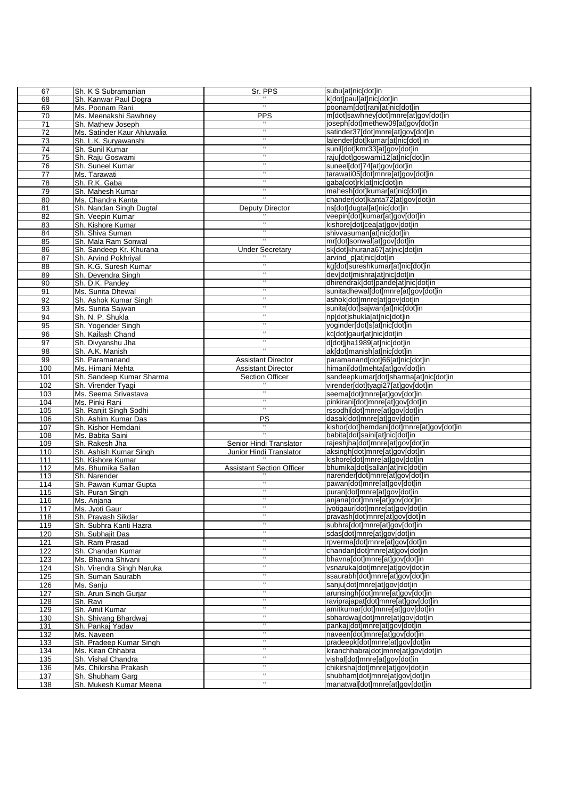| 67              | Sh. K S Subramanian         | Sr. PPS                          | subulatmicldotiin                         |
|-----------------|-----------------------------|----------------------------------|-------------------------------------------|
| 68              | Sh. Kanwar Paul Dogra       |                                  | k[dot]paul[at]nic[dot]in                  |
| 69              | Ms. Poonam Rani             |                                  | poonam[dot]rani[at]nic[dot]in             |
| 70              | Ms. Meenakshi Sawhney       | <b>PPS</b>                       | m[dot]sawhney[dot]mnre[at]gov[dot]in      |
| $\overline{71}$ | Sh. Mathew Joseph           |                                  | joseph[dot]methew09[at]gov[dot]in         |
| $\overline{72}$ | Ms. Satinder Kaur Ahluwalia | π                                | satinder37[dot]mnre[at]gov[dot]in         |
| 73              | Sh. L.K. Suryawanshi        | $\pmb{\mathsf{H}}$               | lalender[dot]kumar[at]nic[dot] in         |
| 74              | Sh. Sunil Kumar             | $\mathbf{H}$                     | sunil[dot]kmr33[at]gov[dot]in             |
| $\overline{75}$ | Sh. Raju Goswami            | п                                | raju[dot]goswami12[at]nic[dot]in          |
|                 |                             | $\mathbf H$                      |                                           |
| 76              | Sh. Suneel Kumar            | $\mathbf{H}$                     | suneel[dot]74[at]gov[dot]in               |
| 77              | Ms. Tarawati                |                                  | tarawati05[dot]mnre[at]gov[dot]in         |
| 78              | Sh. R.K. Gaba               |                                  | gaba[dot]rk[at]nic[dot]in                 |
| 79              | Sh. Mahesh Kumar            |                                  | mahesh[dot]kumar[at]nic[dot]in            |
| 80              | Ms. Chandra Kanta           |                                  | chander[dot]kanta72[at]gov[dot]in         |
| 81              | Sh. Nandan Singh Dugtal     | Deputy Director                  | nsidotidugtaliatinicidotiin               |
| 82              | Sh. Veepin Kumar            |                                  | veepin[dot]kumar[at]gov[dot]in            |
| 83              | Sh. Kishore Kumar           |                                  | kishore[dot]cea[at]gov[dot]in             |
| 84              | Sh. Shiva Suman             | $\mathbf{u}$                     | shivvasuman[at]nic[dot]in                 |
| 85              | Sh. Mala Ram Sonwal         | $\mathbf{u}$                     | mr[dot]sonwal[at]gov[dot]in               |
| 86              | Sh. Sandeep Kr. Khurana     | <b>Under Secretary</b>           | sk[dot]khurana67[at]nic[dot]in            |
| 87              | Sh. Arvind Pokhriyal        |                                  | arvind_p[at]nic[dot]in                    |
| 88              | Sh. K.G. Suresh Kumar       |                                  | kg[dot]sureshkumar[at]nic[dot]in          |
| 89              | Sh. Devendra Singh          | $\mathbf{H}$                     | dev[dot]mishra[at]nic[dot]in              |
| $\overline{90}$ | Sh. D.K. Pandey             | $\mathbf{H}$                     | dhirendrak[dot]pande[at]nic[dot]in        |
| 91              | Ms. Sunita Dhewal           | $\mathbf{H}$                     | sunitadhewal[dot]mnre[at]gov[dot]in       |
| 92              | Sh. Ashok Kumar Singh       | $\pmb{\mathsf{H}}$               | ashok[dot]mnre[at]gov[dot]in              |
| 93              | Ms. Sunita Sajwan           | $\mathbf{H}$                     | sunita[dot]sajwan[at]nic[dot]in           |
| 94              | Sh. N. P. Shukla            | $\pmb{\mathsf{H}}$               | np[dot]shukla[at]nic[dot]in               |
|                 |                             | $\mathbf{H}$                     |                                           |
| 95              | Sh. Yogender Singh          | $\mathbf{H}$                     | yoginder[dot]s[at]nic[dot]in              |
| 96              | Sh. Kailash Chand           |                                  | kc[dot]gaur[at]nic[dot]in                 |
| 97              | Sh. Divyanshu Jha           |                                  | d[dot]jha1989[at]nic[dot]in               |
| 98              | Sh. A.K. Manish             |                                  | ak[dot]manish[at]nic[dot]in               |
| 99              | Sh. Paramanand              | <b>Assistant Director</b>        | paramanand[dot]66[at]nic[dot]in           |
| 100             | Ms. Himani Mehta            | <b>Assistant Director</b>        | himani[dot]mehta[at]gov[dot]in            |
| 101             | Sh. Sandeep Kumar Sharma    | Section Officer                  | sandeepkumar[dot]sharma[at]nic[dot]in     |
| 102             | Sh. Virender Tyagi          |                                  | virender[dot]tyagi27[at]gov[dot]in        |
| 103             | Ms. Seema Srivastava        |                                  | seema[dot]mnre[at]gov[dot]in              |
| 104             | Ms. Pinki Rani              |                                  | pinkirani[dot]mnre[at]gov[dot]in          |
| 105             | Sh. Ranjit Singh Sodhi      |                                  | rssodhi[dot]mnre[at]gov[dot]in            |
| 106             | Sh. Ashim Kumar Das         | PS                               | dasak[dot]mnre[at]gov[dot]in              |
| 107             | Sh. Kishor Hemdani          |                                  | kishor[dot]hemdani[dot]mnre[at]gov[dot]in |
| 108             | Ms. Babita Saini            |                                  | babita[dot]saini[at]nic[dot]in            |
| 109             | Sh. Rakesh Jha              | Senior Hindi Translator          | rajeshjha[dot]mnre[at]gov[dot]in          |
| 110             | Sh. Ashish Kumar Singh      | Junior Hindi Translator          | aksingh[dot]mnre[at]gov[dot]in            |
| 111             | Sh. Kishore Kumar           |                                  | kishore[dot]mnre[at]gov[dot]in            |
| 112             | Ms. Bhumika Sallan          | <b>Assistant Section Officer</b> | bhumika[dot]sallan[at]nic[dot]in          |
| 113             | Sh. Narender                |                                  | narender[dot]mnre[at]gov[dot]in           |
| 114             | Sh. Pawan Kumar Gupta       |                                  | pawan[dot]mnre[at]gov[dot]in              |
| 115             | Sh. Puran Singh             | $\mathbf{H}$                     | puran[dot]mnre[at]gov[dot]in              |
| 116             | Ms. Anjana                  | $\overline{\mathbf{u}}$          | anjana[dot]mnre[at]gov[dot]in             |
| 117             | Ms. Jyoti Gaur              | $\mathbf{H}$                     | jyotigaur[dot]mnre[at]gov[dot]in          |
| 118             | Sh. Pravash Sikdar          | $\mathbf{H}$                     | pravash[dot]mnre[at]gov[dot]in            |
| 119             | Sh. Subhra Kanti Hazra      | $\mathbf{H}$                     | subhra[dot]mnre[at]qov[dot]in             |
| 120             | Sh. Subhajit Das            | π                                | sdas[dot]mnre[at]gov[dot]in               |
| 121             | Sh. Ram Prasad              | $\mathbf{H}$                     | rpverma[dot]mnre[at]gov[dot]in            |
| 122             | Sh. Chandan Kumar           | π                                | chandan[dot]mnre[at]gov[dot]in            |
|                 |                             | $\blacksquare$                   |                                           |
| 123             | Ms. Bhavna Shivani          | π                                | bhavna[dot]mnre[at]gov[dot]in             |
| 124             | Sh. Virendra Singh Naruka   |                                  | vsnaruka[dot]mnre[at]qov[dot]in           |
| 125             | Sh. Suman Saurabh           | π                                | ssaurabh[dot]mnre[at]gov[dot]in           |
| 126             | Ms. Sanju                   | π                                | sanju[dot]mnre[at]gov[dot]in              |
| 127             | Sh. Arun Singh Gurjar       | $\pmb{\mathsf{H}}$               | arunsingh[dot]mnre[at]gov[dot]in          |
| 128             | Sh. Ravi                    | $\mathbf{H}$                     | raviprajapat[dot]mnre[at]qov[dot]in       |
| 129             | Sh. Amit Kumar              | $\mathbf{H}$                     | amitkumar[dot]mnre[at]gov[dot]in          |
| 130             | Sh. Shivang Bhardwaj        | π                                | sbhardwaj[dot]mnre[at]qov[dot]in          |
| 131             | Sh. Pankaj Yadav            | π                                | pankaj[dot]mnre[at]gov[dot]in             |
| 132             | Ms. Naveen                  | $\mathbf{H}$                     | naveen[dot]mnre[at]gov[dot]in             |
| 133             | Sh. Pradeep Kumar Singh     | π                                | pradeepk[dot]mnre[at]gov[dot]in           |
| 134             | Ms. Kiran Chhabra           | π                                | kiranchhabra[dot]mnre[at]gov[dot]in       |
| 135             | Sh. Vishal Chandra          | π                                | vishal[dot]mnre[at]gov[dot]in             |
| 136             | Ms. Chikirsha Prakash       | π                                | chikirsha[dot]mnre[at]gov[dot]in          |
| 137             | Sh. Shubham Garg            | π                                | shubham[dot]mnre[at]gov[dot]in            |
| 138             | Sh. Mukesh Kumar Meena      | $\mathbf{H}$                     | manatwal[dot]mnre[at]gov[dot]in           |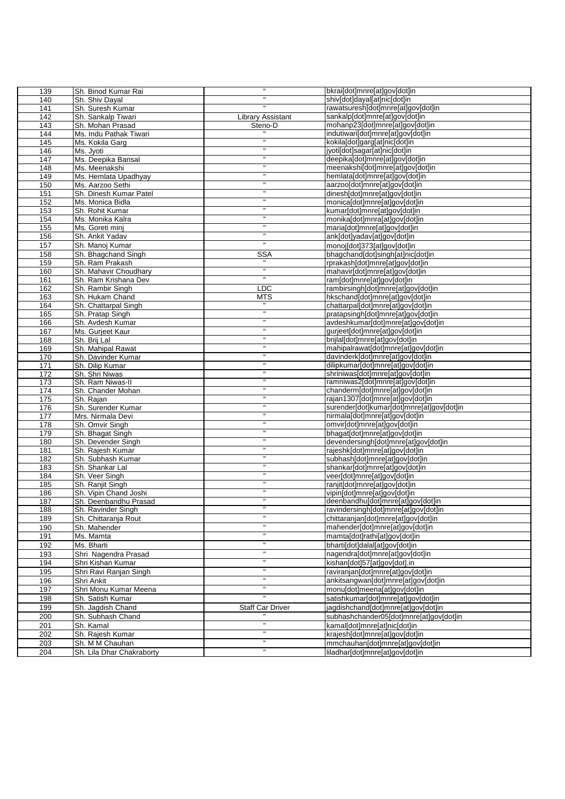| 139        | Sh. Binod Kumar Rai                |                          | bkraildot]mnre[at]qov[dot]in                                                  |
|------------|------------------------------------|--------------------------|-------------------------------------------------------------------------------|
| 140        | Sh. Shiv Dayal                     |                          | shiv[dot]dayal[at]nic[dot]in                                                  |
| 141        | Sh. Suresh Kumar                   |                          | rawatsuresh[dot]mnre[at]gov[dot]in                                            |
| 142        | Sh. Sankalp Tiwari                 | <b>Library Assistant</b> | sankalp[dot]mnre[at]qov[dot]in                                                |
| 143        | Sh. Mohan Prasad                   | Steno-D                  | mohanp23[dot]mnre[at]gov[dot]in                                               |
| 144        | Ms. Indu Pathak Tiwari             |                          | indutiwari[dot]mnre[at]gov[dot]in                                             |
| 145        | Ms. Kokila Garg                    | $\mathbf{H}$             | kokila[dot]garg[at]nic[dot]in                                                 |
| 146        | Ms. Jyoti                          |                          | jyoti[dot]sagar[at]nic[dot]in                                                 |
| 147        | Ms. Deepika Bansal                 | $\mathbf{H}$             | deepika[dot]mnre[at]gov[dot]in                                                |
| 148        | Ms. Meenakshi                      |                          | meenakshi[dot]mnre[at]gov[dot]in                                              |
| 149        | Ms. Hemlata Upadhyay               | $\mathbf{H}$             | hemlata[dot]mnre[at]gov[dot]in                                                |
| 150        | Ms. Aarzoo Sethi                   |                          | aarzoo[dot]mnre[at]gov[dot]in                                                 |
| 151        | Sh. Dinesh Kumar Patel             | $\mathbf{H}$             | dinesh[dot]mnre[at]gov[dot]in                                                 |
| 152        | Ms. Monica Bidla                   | $\mathbf{H}$             | monica[dot]mnre[at]gov[dot]in                                                 |
| 153        | Sh. Rohit Kumar                    |                          | kumar[dot]mnre[at]gov[dot]in                                                  |
| 154<br>155 | Ms. Monika Kalra                   | $\mathbf{H}$             | monika[dot]mnra[at]gov[dot]in<br>maria[dot]mnre[at]gov[dot]in                 |
| 156        | Ms. Goreti minj<br>Sh. Ankit Yadav |                          | ank[dot]yadav[at]gov[dot]in                                                   |
| 157        | Sh. Manoj Kumar                    | $\mathbf{H}$             | monoj[dot]373[at]gov[dot]in                                                   |
| 158        | Sh. Bhagchand Singh                | <b>SSA</b>               | bhagchand[dot]singh[at]nic[dot]in                                             |
| 159        | Sh. Ram Prakash                    |                          | rprakash[dot]mnre[at]gov[dot]in                                               |
| 160        | Sh. Mahavir Choudhary              |                          | mahavir[dot]mnre[at]gov[dot]in                                                |
| 161        | Sh. Ram Krishana Dev               |                          | ram[dot]mnre[at]gov[dot]in                                                    |
| 162        | Sh. Rambir Singh                   | LDC                      | rambirsingh[dot]mnre[at]gov[dot]in                                            |
| 163        | Sh. Hukam Chand                    | <b>MTS</b>               | hkschand[dot]mnre[at]gov[dot]in                                               |
| 164        | Sh. Chattarpal Singh               |                          | chattarpal[dot]mnre[at]gov[dot]in                                             |
| 165        | Sh. Pratap Singh                   | $\mathbf{H}$             | pratapsingh[dot]mnre[at]gov[dot]in                                            |
| 166        | Sh. Avdesh Kumar                   |                          | avdeshkumar[dot]mnre[at]gov[dot]in                                            |
| 167        | Ms. Gurjeet Kaur                   |                          | gurjeet[dot]mnre[at]gov[dot]in                                                |
| 168        | Sh. Brij Lal                       |                          | brijlal[dot]mnre[at]gov[dot]in                                                |
| 169        | Sh. Mahipal Rawat                  |                          | mahipalrawat[dot]mnre[at]gov[dot]in                                           |
| 170        | Sh. Davinder Kumar                 |                          | davinderk[dot]mnre[at]gov[dot]in                                              |
| 171        | Sh. Dilip Kumar                    | $\mathbf{H}$             | dilipkumar[dot]mnre[at]gov[dot]in                                             |
| 172        | Sh. Shri Niwas                     | н<br>$\mathbf{H}$        | shriniwas[dot]mnre[at]gov[dot]in                                              |
| 173        | Sh. Ram Niwas-II                   | Ħ                        | ramniwas2[dot]mnre[at]gov[dot]in                                              |
| 174        | Sh. Chander Mohan                  | π                        | chanderm[dot]mnre[at]gov[dot]in                                               |
| 175<br>176 | Sh. Rajan<br>Sh. Surender Kumar    | Ħ                        | rajan1307[dot]mnre[at]gov[dot]in<br>surender[dot]kumar[dot]mnre[at]gov[dot]in |
| 177        | Mrs. Nirmala Devi                  | π                        | nirmala[dot]mnre[at]gov[dot]in                                                |
| 178        | Sh. Omvir Singh                    | Ħ                        | omvir[dot]mnre[at]gov[dot]in                                                  |
| 179        | Sh. Bhagat Singh                   | π                        | bhagat[dot]mnre[at]gov[dot]in                                                 |
| 180        | Sh. Devender Singh                 | Ħ                        | devendersingh[dot]mnre[at]gov[dot]in                                          |
| 181        | Sh. Rajesh Kumar                   | π                        | rajeshk[dot]mnre[at]gov[dot]in                                                |
| 182        | Sh. Subhash Kumar                  | Ħ                        | subhash[dot]mnre[at]gov[dot]in                                                |
| 183        | Sh. Shankar Lal                    | Ħ                        | shankar[dot]mnre[at]qov[dot]in                                                |
| 184        | Sh. Veer Singh                     | Ħ                        | veer[dot]mnre[at]gov[dot]in                                                   |
| 185        | Sh. Ranjit Singh                   | π                        | ranjit[dot]mnre[at]gov[dot]in                                                 |
| 186        | Sh. Vipin Chand Joshi              | Ħ                        | vipin[dot]mnre[at]qov[dot]in                                                  |
| 187        | Sh. Deenbandhu Prasad              | $\blacksquare$           | deenbandhu[dot]mnre[at]gov[dot]in                                             |
| 188        | Sh. Ravinder Singh                 | $\mathbf{u}$             | ravindersingh[dot]mnre[at]gov[dot]in                                          |
| 189        | Sh. Chittaranja Rout               | $\mathbf{H}$             | chittaranjan[dot]mnre[at]gov[dot]in                                           |
| 190        | Sh. Mahender                       |                          | mahender[dot]mnre[at]gov[dot]in                                               |
| 191        | Ms. Mamta                          | $\mathbf{H}$             | mamta[dot]rathi[at]gov[dot]in                                                 |
| 192        | Ms. Bharti                         |                          | bharti[dot]dalal[at]gov[dot]in                                                |
| 193        | Shri Nagendra Prasad               | н<br>Ħ                   | nagendra[dot]mnre[at]gov[dot]in                                               |
| 194        | Shri Kishan Kumar                  |                          | kishan[dot]57[at]gov[dot].in                                                  |
| 195        | Shri Ravi Ranjan Singh             | $\blacksquare$           | raviranjan[dot]mnre[at]gov[dot]in                                             |
| 196        | Shri Ankit                         | $\mathbf{H}$             | ankitsangwan[dot]mnre[at]gov[dot]in                                           |
| 197        | Shri Monu Kumar Meena              | Ħ                        | monu[dot]meena[at]qov[dot]in                                                  |
| 198        | Sh. Satish Kumar                   |                          | satishkumar[dot]mnre[at]gov[dot]in                                            |
| 199        | Sh. Jagdish Chand                  | <b>Staff Car Driver</b>  | jagdishchand[dot]mnre[at]gov[dot]in                                           |
| 200        | Sh. Subhash Chand                  |                          | subhashchander05[dot]mnre[at]gov[dot]in                                       |
| 201        | Sh. Kamal                          |                          | kamal[dot]mnre[at]nic[dot]in                                                  |
| 202        | Sh. Rajesh Kumar                   | $\blacksquare$           | krajesh[dot]mnre[at]gov[dot]in                                                |
| 203        | Sh. M M Chauhan                    | $\mathbf{H}$             | mmchauhan[dot]mnre[at]gov[dot]in                                              |
| 204        | Sh. Lila Dhar Chakraborty          |                          | liladhar[dot]mnre[at]gov[dot]in                                               |